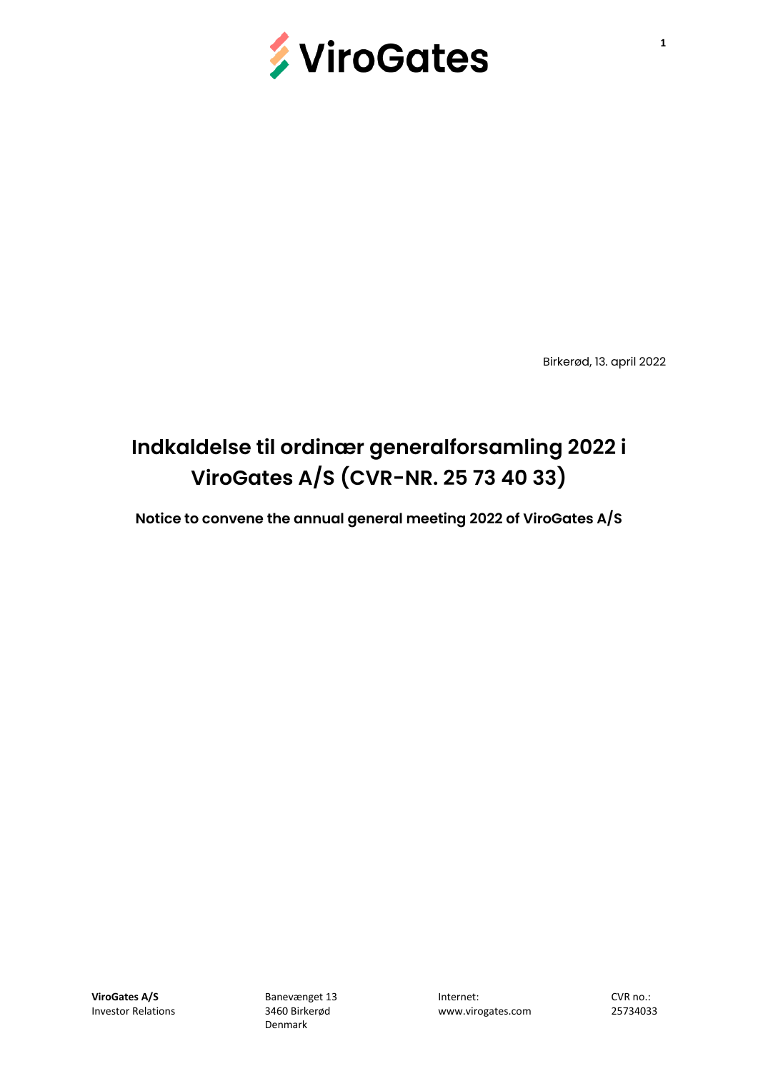

Birkerød, 13. april 2022

# **Indkaldelse til ordinær generalforsamling 2022 i ViroGates A/S (CVR-NR. 25 73 40 33)**

**Notice to convene the annual general meeting 2022 of ViroGates A/S**

www.virogates.com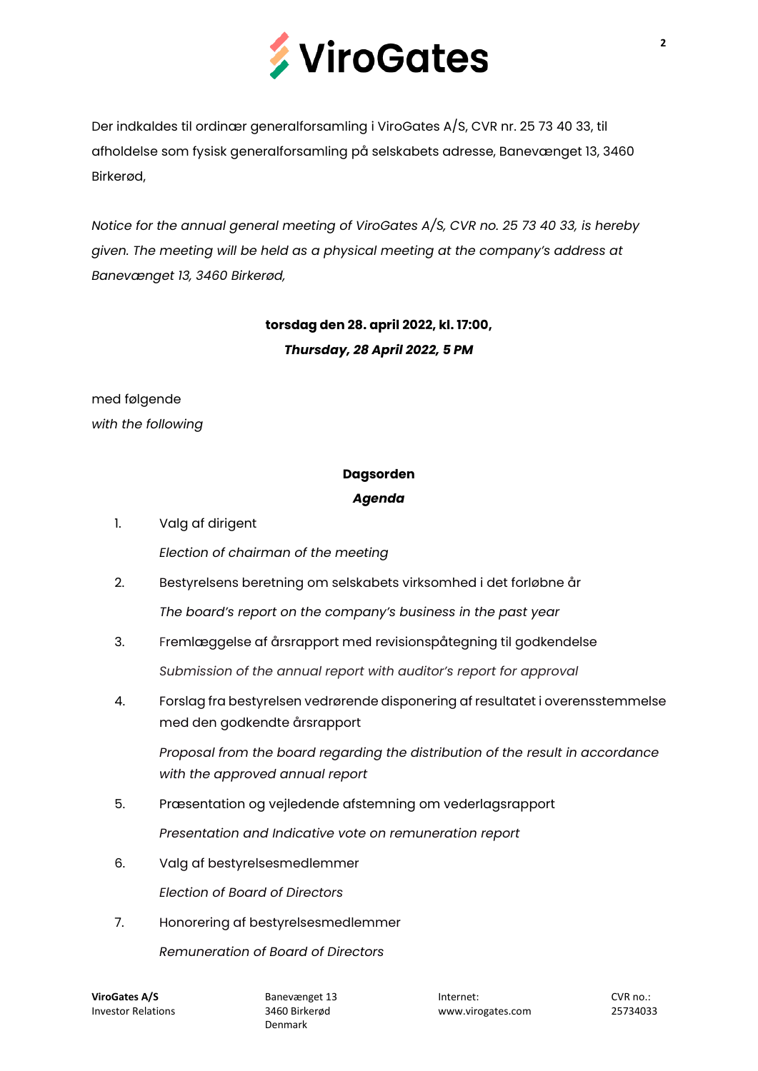

Der indkaldes til ordinær generalforsamling i ViroGates A/S, CVR nr. 25 73 40 33, til afholdelse som fysisk generalforsamling på selskabets adresse, Banevænget 13, 3460 Birkerød,

*Notice for the annual general meeting of ViroGates A/S, CVR no. 25 73 40 33, is hereby given. The meeting will be held as a physical meeting at the company's address at Banevænget 13, 3460 Birkerød,*

# **torsdag den 28. april 2022, kl. 17:00,** *Thursday, 28 April 2022, 5 PM*

med følgende *with the following*

## **Dagsorden**

## *Agenda*

- 1. Valg af dirigent *Election of chairman of the meeting*
- 2. Bestyrelsens beretning om selskabets virksomhed i det forløbne år *The board's report on the company's business in the past year*
- 3. Fremlæggelse af årsrapport med revisionspåtegning til godkendelse *Submission of the annual report with auditor's report for approval*
- 4. Forslag fra bestyrelsen vedrørende disponering af resultatet i overensstemmelse med den godkendte årsrapport

*Proposal from the board regarding the distribution of the result in accordance with the approved annual report*

- 5. Præsentation og vejledende afstemning om vederlagsrapport *Presentation and Indicative vote on remuneration report*
- 6. Valg af bestyrelsesmedlemmer

*Election of Board of Directors*

7. Honorering af bestyrelsesmedlemmer

*Remuneration of Board of Directors*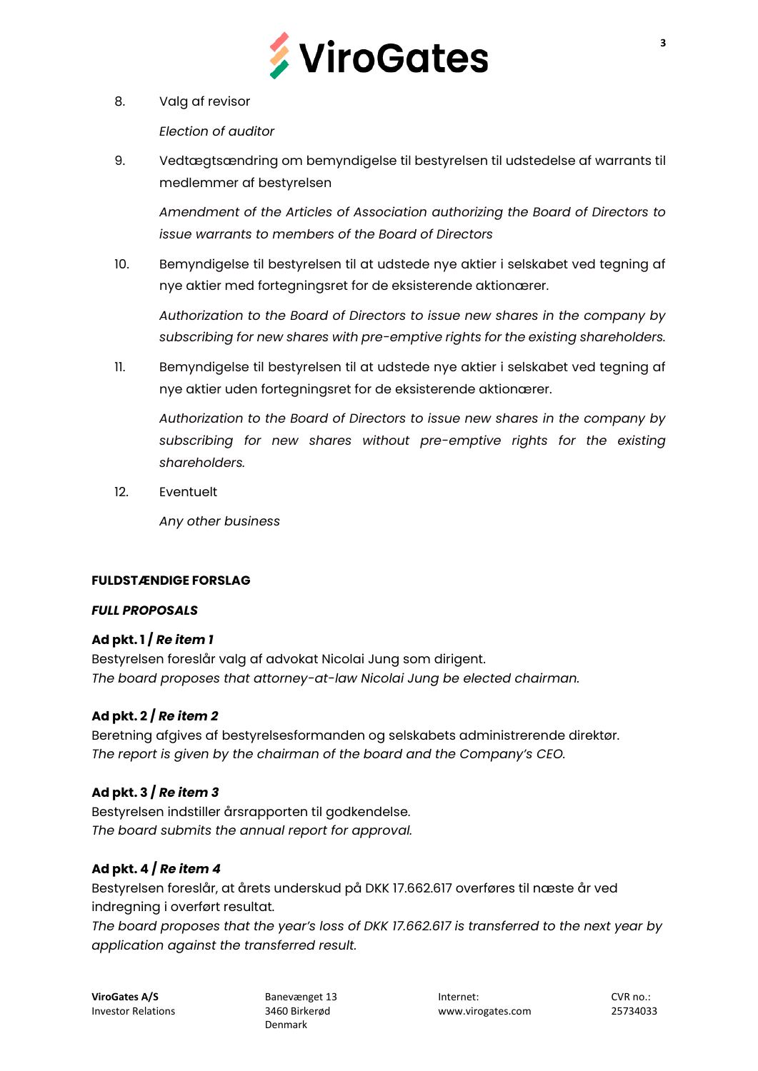

8. Valg af revisor

*Election of auditor*

9. Vedtægtsændring om bemyndigelse til bestyrelsen til udstedelse af warrants til medlemmer af bestyrelsen

*Amendment of the Articles of Association authorizing the Board of Directors to issue warrants to members of the Board of Directors*

10. Bemyndigelse til bestyrelsen til at udstede nye aktier i selskabet ved tegning af nye aktier med fortegningsret for de eksisterende aktionærer.

*Authorization to the Board of Directors to issue new shares in the company by subscribing for new shares with pre-emptive rights for the existing shareholders.*

11. Bemyndigelse til bestyrelsen til at udstede nye aktier i selskabet ved tegning af nye aktier uden fortegningsret for de eksisterende aktionærer.

*Authorization to the Board of Directors to issue new shares in the company by subscribing for new shares without pre-emptive rights for the existing shareholders.*

12. Eventuelt

*Any other business*

#### **FULDSTÆNDIGE FORSLAG**

#### *FULL PROPOSALS*

## **Ad pkt. 1 /** *Re item 1*

Bestyrelsen foreslår valg af advokat Nicolai Jung som dirigent. *The board proposes that attorney-at-law Nicolai Jung be elected chairman.*

## **Ad pkt. 2 /** *Re item 2*

Beretning afgives af bestyrelsesformanden og selskabets administrerende direktør. *The report is given by the chairman of the board and the Company's CEO.* 

## **Ad pkt. 3 /** *Re item 3*

Bestyrelsen indstiller årsrapporten til godkendelse. *The board submits the annual report for approval.*

## **Ad pkt. 4 /** *Re item 4*

Bestyrelsen foreslår, at årets underskud på DKK 17.662.617 overføres til næste år ved indregning i overført resultat.

*The board proposes that the year's loss of DKK 17.662.617 is transferred to the next year by application against the transferred result.*

Denmark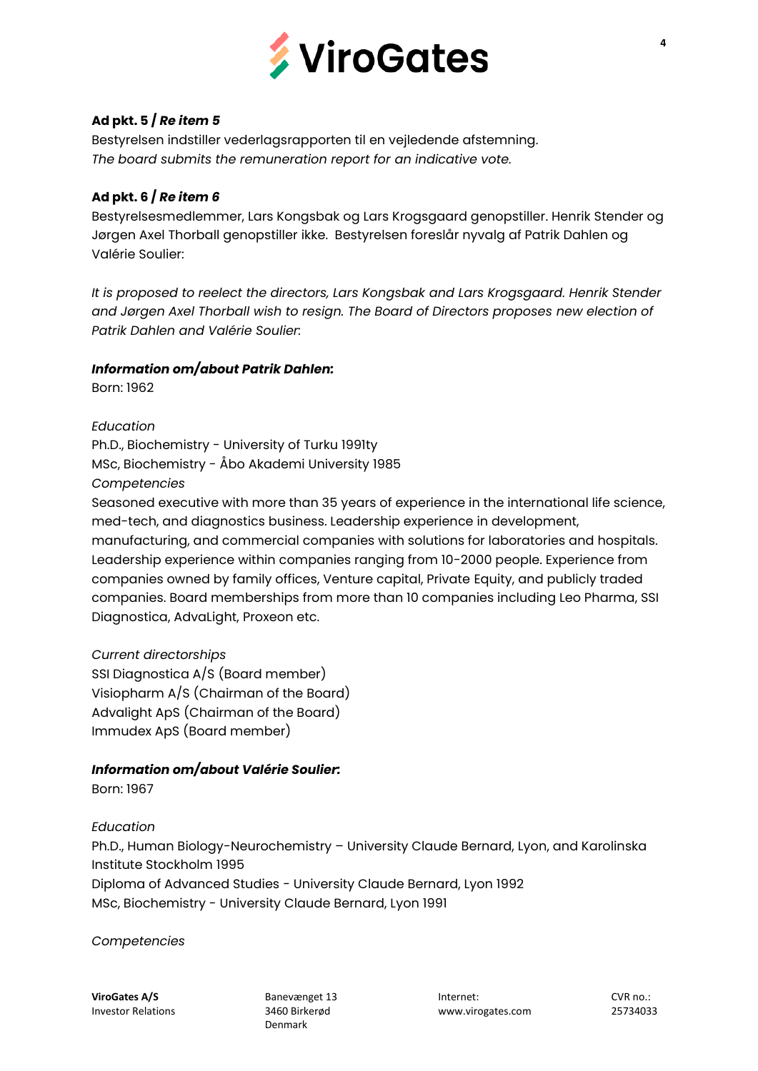

## **Ad pkt. 5 /** *Re item 5*

Bestyrelsen indstiller vederlagsrapporten til en vejledende afstemning. *The board submits the remuneration report for an indicative vote.*

#### **Ad pkt. 6 /** *Re item 6*

Bestyrelsesmedlemmer, Lars Kongsbak og Lars Krogsgaard genopstiller. Henrik Stender og Jørgen Axel Thorball genopstiller ikke. Bestyrelsen foreslår nyvalg af Patrik Dahlen og Valérie Soulier:

*It is proposed to reelect the directors, Lars Kongsbak and Lars Krogsgaard. Henrik Stender and Jørgen Axel Thorball wish to resign. The Board of Directors proposes new election of Patrik Dahlen and Valérie Soulier:*

## *Information om/about Patrik Dahlen:*

Born: 1962

*Education*

Ph.D., Biochemistry - University of Turku 1991ty MSc, Biochemistry - Åbo Akademi University 1985 *Competencies*

Seasoned executive with more than 35 years of experience in the international life science, med-tech, and diagnostics business. Leadership experience in development, manufacturing, and commercial companies with solutions for laboratories and hospitals. Leadership experience within companies ranging from 10-2000 people. Experience from companies owned by family offices, Venture capital, Private Equity, and publicly traded companies. Board memberships from more than 10 companies including Leo Pharma, SSI Diagnostica, AdvaLight, Proxeon etc.

#### *Current directorships*

SSI Diagnostica A/S (Board member) Visiopharm A/S (Chairman of the Board) Advalight ApS (Chairman of the Board) Immudex ApS (Board member)

## *Information om/about Valérie Soulier:*

Born: 1967

*Education*

Ph.D., Human Biology-Neurochemistry – University Claude Bernard, Lyon, and Karolinska Institute Stockholm 1995

Diploma of Advanced Studies - University Claude Bernard, Lyon 1992 MSc, Biochemistry - University Claude Bernard, Lyon 1991

*Competencies*

Denmark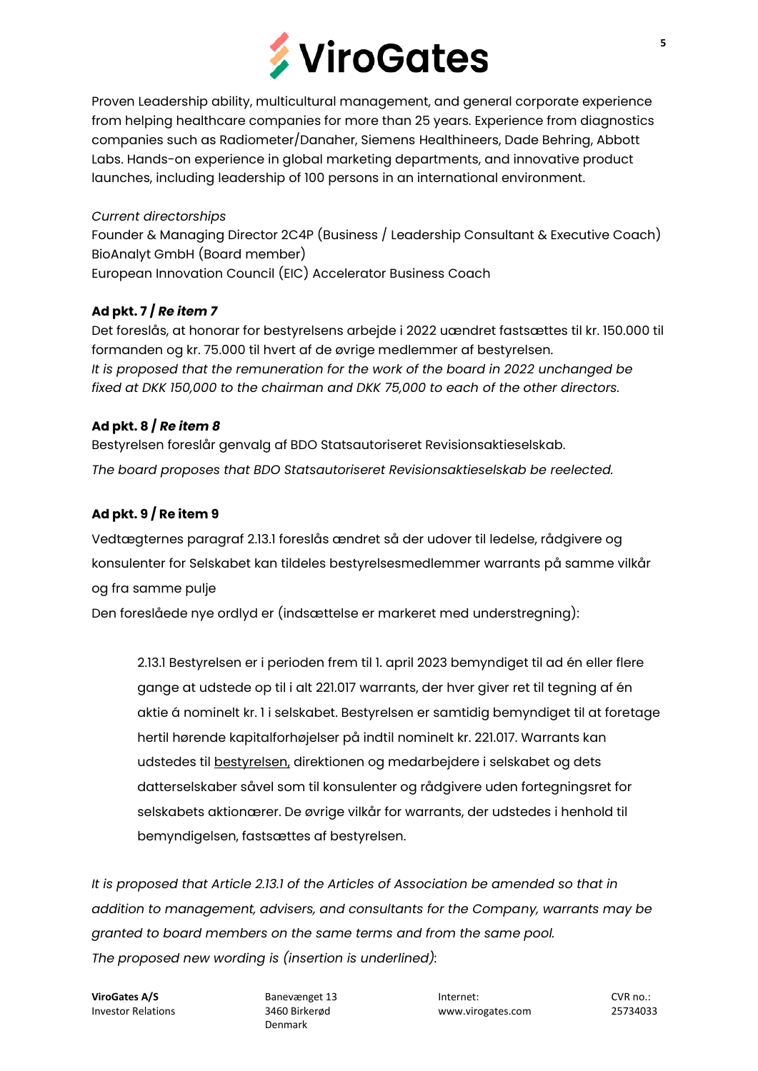

Proven Leadership ability, multicultural management, and general corporate experience from helping healthcare companies for more than 25 years. Experience from diagnostics companies such as Radiometer/Danaher, Siemens Healthineers, Dade Behring, Abbott Labs. Hands-on experience in global marketing departments, and innovative product launches, including leadership of 100 persons in an international environment.

## *Current directorships*

Founder & Managing Director 2C4P (Business / Leadership Consultant & Executive Coach) BioAnalyt GmbH (Board member) European Innovation Council (EIC) Accelerator Business Coach

## **Ad pkt. 7 /** *Re item 7*

Det foreslås, at honorar for bestyrelsens arbejde i 2022 uændret fastsættes til kr. 150.000 til formanden og kr. 75.000 til hvert af de øvrige medlemmer af bestyrelsen. *It is proposed that the remuneration for the work of the board in 2022 unchanged be fixed at DKK 150,000 to the chairman and DKK 75,000 to each of the other directors.*

## **Ad pkt. 8 /** *Re item 8*

Bestyrelsen foreslår genvalg af BDO Statsautoriseret Revisionsaktieselskab. *The board proposes that BDO Statsautoriseret Revisionsaktieselskab be reelected.*

## **Ad pkt. 9 / Re item 9**

Vedtægternes paragraf 2.13.1 foreslås ændret så der udover til ledelse, rådgivere og konsulenter for Selskabet kan tildeles bestyrelsesmedlemmer warrants på samme vilkår og fra samme pulje

Den foreslåede nye ordlyd er (indsættelse er markeret med understregning):

2.13.1 Bestyrelsen er i perioden frem til 1. april 2023 bemyndiget til ad én eller flere gange at udstede op til i alt 221.017 warrants, der hver giver ret til tegning af én aktie á nominelt kr. 1 i selskabet. Bestyrelsen er samtidig bemyndiget til at foretage hertil hørende kapitalforhøjelser på indtil nominelt kr. 221.017. Warrants kan udstedes til bestyrelsen, direktionen og medarbejdere i selskabet og dets datterselskaber såvel som til konsulenter og rådgivere uden fortegningsret for selskabets aktionærer. De øvrige vilkår for warrants, der udstedes i henhold til bemyndigelsen, fastsættes af bestyrelsen.

*It is proposed that Article 2.13.1 of the Articles of Association be amended so that in addition to management, advisers, and consultants for the Company, warrants may be granted to board members on the same terms and from the same pool. The proposed new wording is (insertion is underlined):*

Denmark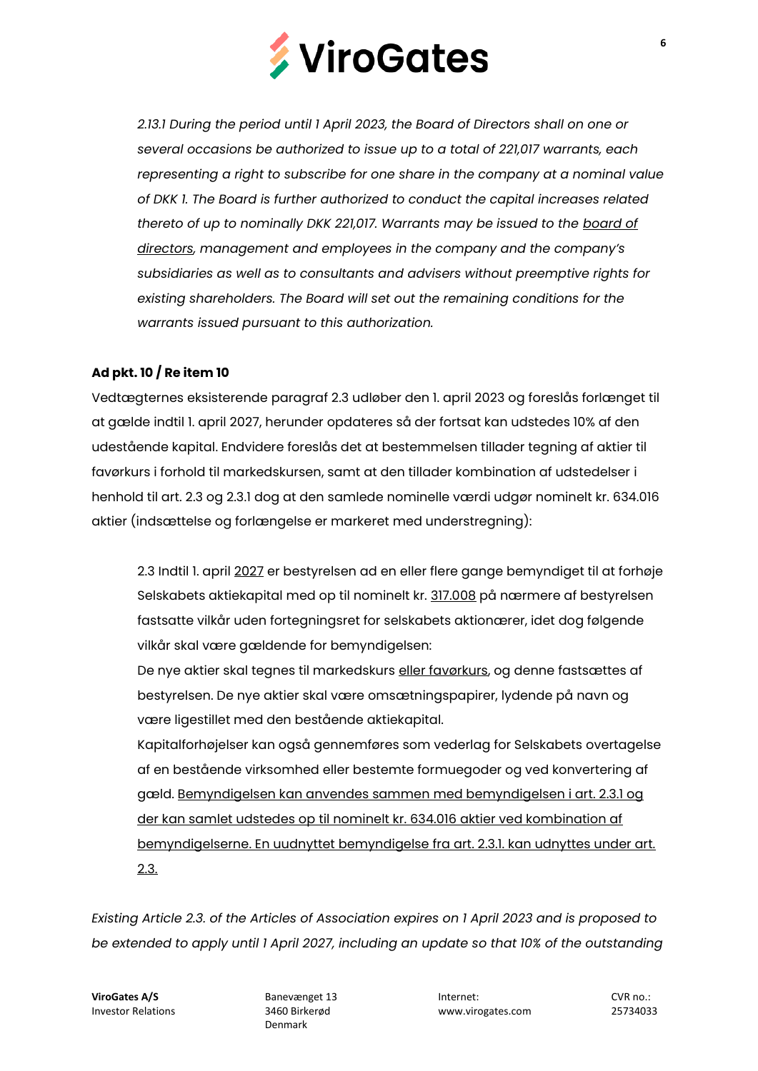

*2.13.1 During the period until 1 April 2023, the Board of Directors shall on one or several occasions be authorized to issue up to a total of 221,017 warrants, each representing a right to subscribe for one share in the company at a nominal value of DKK 1. The Board is further authorized to conduct the capital increases related thereto of up to nominally DKK 221,017. Warrants may be issued to the board of directors, management and employees in the company and the company's subsidiaries as well as to consultants and advisers without preemptive rights for existing shareholders. The Board will set out the remaining conditions for the warrants issued pursuant to this authorization.*

## **Ad pkt. 10 / Re item 10**

Vedtægternes eksisterende paragraf 2.3 udløber den 1. april 2023 og foreslås forlænget til at gælde indtil 1. april 2027, herunder opdateres så der fortsat kan udstedes 10% af den udestående kapital. Endvidere foreslås det at bestemmelsen tillader tegning af aktier til favørkurs i forhold til markedskursen, samt at den tillader kombination af udstedelser i henhold til art. 2.3 og 2.3.1 dog at den samlede nominelle værdi udgør nominelt kr. 634.016 aktier (indsættelse og forlængelse er markeret med understregning):

2.3 Indtil 1. april 2027 er bestyrelsen ad en eller flere gange bemyndiget til at forhøje Selskabets aktiekapital med op til nominelt kr. 317.008 på nærmere af bestyrelsen fastsatte vilkår uden fortegningsret for selskabets aktionærer, idet dog følgende vilkår skal være gældende for bemyndigelsen:

De nye aktier skal tegnes til markedskurs eller favørkurs, og denne fastsættes af bestyrelsen. De nye aktier skal være omsætningspapirer, lydende på navn og være ligestillet med den bestående aktiekapital.

Kapitalforhøjelser kan også gennemføres som vederlag for Selskabets overtagelse af en bestående virksomhed eller bestemte formuegoder og ved konvertering af gæld. Bemyndigelsen kan anvendes sammen med bemyndigelsen i art. 2.3.1 og der kan samlet udstedes op til nominelt kr. 634.016 aktier ved kombination af bemyndigelserne. En uudnyttet bemyndigelse fra art. 2.3.1. kan udnyttes under art. 2.3.

*Existing Article 2.3. of the Articles of Association expires on 1 April 2023 and is proposed to be extended to apply until 1 April 2027, including an update so that 10% of the outstanding* 

Denmark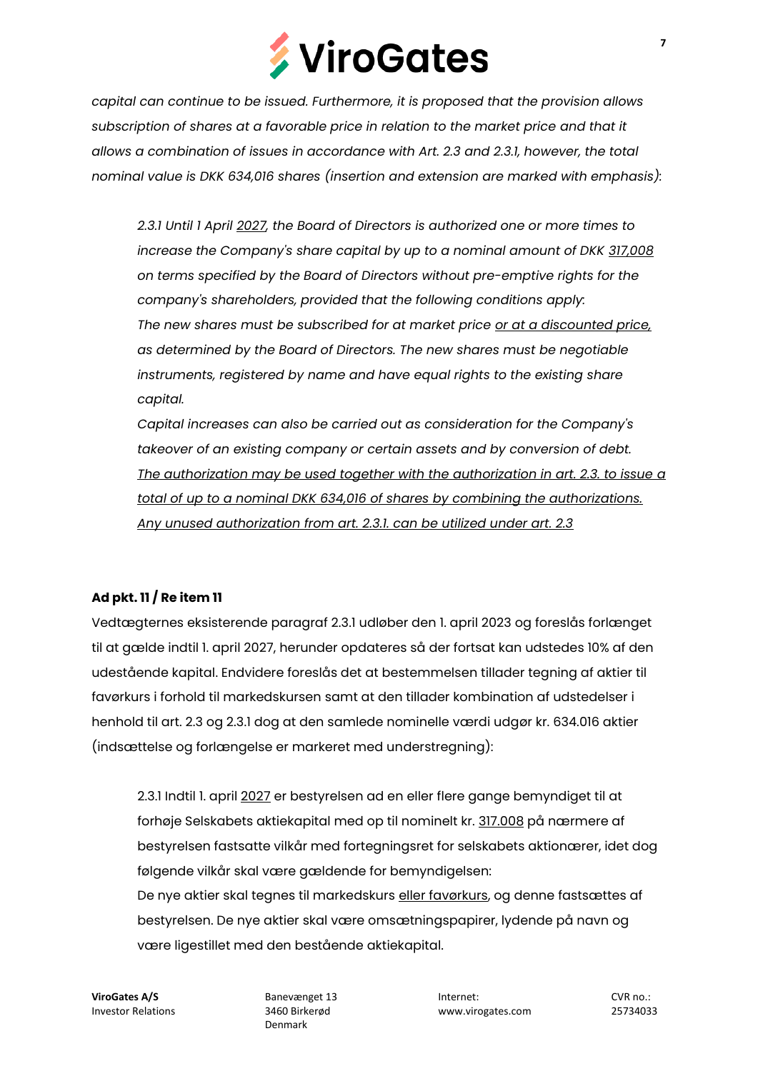

*capital can continue to be issued. Furthermore, it is proposed that the provision allows subscription of shares at a favorable price in relation to the market price and that it allows a combination of issues in accordance with Art. 2.3 and 2.3.1, however, the total nominal value is DKK 634,016 shares (insertion and extension are marked with emphasis):*

*2.3.1 Until 1 April 2027, the Board of Directors is authorized one or more times to increase the Company's share capital by up to a nominal amount of DKK 317,008 on terms specified by the Board of Directors without pre-emptive rights for the company's shareholders, provided that the following conditions apply: The new shares must be subscribed for at market price or at a discounted price, as determined by the Board of Directors. The new shares must be negotiable instruments, registered by name and have equal rights to the existing share capital.*

*Capital increases can also be carried out as consideration for the Company's takeover of an existing company or certain assets and by conversion of debt. The authorization may be used together with the authorization in art. 2.3. to issue a total of up to a nominal DKK 634,016 of shares by combining the authorizations. Any unused authorization from art. 2.3.1. can be utilized under art. 2.3*

#### **Ad pkt. 11 / Re item 11**

Vedtægternes eksisterende paragraf 2.3.1 udløber den 1. april 2023 og foreslås forlænget til at gælde indtil 1. april 2027, herunder opdateres så der fortsat kan udstedes 10% af den udestående kapital. Endvidere foreslås det at bestemmelsen tillader tegning af aktier til favørkurs i forhold til markedskursen samt at den tillader kombination af udstedelser i henhold til art. 2.3 og 2.3.1 dog at den samlede nominelle værdi udgør kr. 634.016 aktier (indsættelse og forlængelse er markeret med understregning):

2.3.1 Indtil 1. april 2027 er bestyrelsen ad en eller flere gange bemyndiget til at forhøje Selskabets aktiekapital med op til nominelt kr. 317.008 på nærmere af bestyrelsen fastsatte vilkår med fortegningsret for selskabets aktionærer, idet dog følgende vilkår skal være gældende for bemyndigelsen: De nye aktier skal tegnes til markedskurs eller favørkurs, og denne fastsættes af bestyrelsen. De nye aktier skal være omsætningspapirer, lydende på navn og være ligestillet med den bestående aktiekapital.

Denmark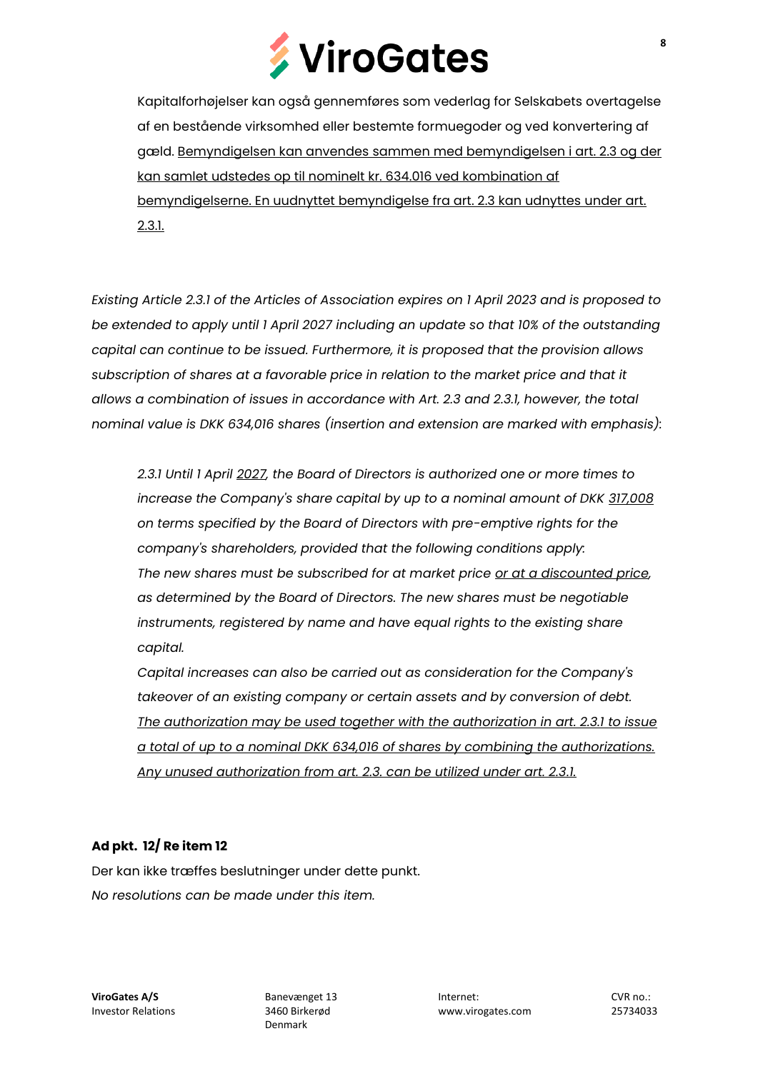

Kapitalforhøjelser kan også gennemføres som vederlag for Selskabets overtagelse af en bestående virksomhed eller bestemte formuegoder og ved konvertering af gæld. Bemyndigelsen kan anvendes sammen med bemyndigelsen i art. 2.3 og der kan samlet udstedes op til nominelt kr. 634.016 ved kombination af bemyndigelserne. En uudnyttet bemyndigelse fra art. 2.3 kan udnyttes under art. 2.3.1.

*Existing Article 2.3.1 of the Articles of Association expires on 1 April 2023 and is proposed to be extended to apply until 1 April 2027 including an update so that 10% of the outstanding capital can continue to be issued. Furthermore, it is proposed that the provision allows subscription of shares at a favorable price in relation to the market price and that it allows a combination of issues in accordance with Art. 2.3 and 2.3.1, however, the total nominal value is DKK 634,016 shares (insertion and extension are marked with emphasis):*

*2.3.1 Until 1 April 2027, the Board of Directors is authorized one or more times to increase the Company's share capital by up to a nominal amount of DKK 317,008 on terms specified by the Board of Directors with pre-emptive rights for the company's shareholders, provided that the following conditions apply: The new shares must be subscribed for at market price or at a discounted price, as determined by the Board of Directors. The new shares must be negotiable instruments, registered by name and have equal rights to the existing share capital.*

*Capital increases can also be carried out as consideration for the Company's takeover of an existing company or certain assets and by conversion of debt. The authorization may be used together with the authorization in art. 2.3.1 to issue a total of up to a nominal DKK 634,016 of shares by combining the authorizations. Any unused authorization from art. 2.3. can be utilized under art. 2.3.1.*

#### **Ad pkt. 12/ Re item 12**

Der kan ikke træffes beslutninger under dette punkt. *No resolutions can be made under this item.*

Denmark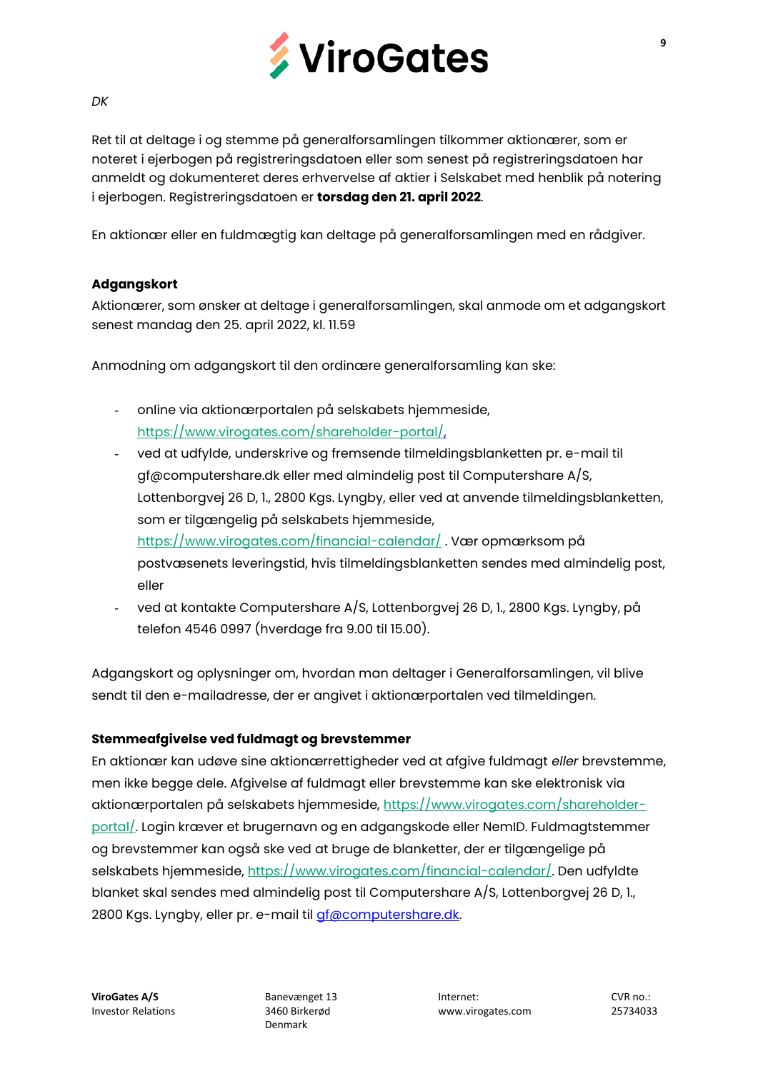

#### *DK*

Ret til at deltage i og stemme på generalforsamlingen tilkommer aktionærer, som er noteret i ejerbogen på registreringsdatoen eller som senest på registreringsdatoen har anmeldt og dokumenteret deres erhvervelse af aktier i Selskabet med henblik på notering i ejerbogen. Registreringsdatoen er **torsdag den 21. april 2022**.

En aktionær eller en fuldmægtig kan deltage på generalforsamlingen med en rådgiver.

## **Adgangskort**

Aktionærer, som ønsker at deltage i generalforsamlingen, skal anmode om et adgangskort senest mandag den 25. april 2022, kl. 11.59

Anmodning om adgangskort til den ordinære generalforsamling kan ske:

- online via aktionærportalen på selskabets hjemmeside, [https://www.virogates.com/shareholder-portal/,](https://www.virogates.com/shareholder-portal/)
- ved at udfylde, underskrive og fremsende tilmeldingsblanketten pr. e-mail til gf@computershare.dk eller med almindelig post til Computershare A/S, Lottenborgvej 26 D, 1., 2800 Kgs. Lyngby, eller ved at anvende tilmeldingsblanketten, som er tilgængelig på selskabets hjemmeside, <https://www.virogates.com/financial-calendar/> . Vær opmærksom på postvæsenets leveringstid, hvis tilmeldingsblanketten sendes med almindelig post, eller
- ved at kontakte Computershare A/S, Lottenborgvej 26 D, 1., 2800 Kgs. Lyngby, på telefon 4546 0997 (hverdage fra 9.00 til 15.00).

Adgangskort og oplysninger om, hvordan man deltager i Generalforsamlingen, vil blive sendt til den e-mailadresse, der er angivet i aktionærportalen ved tilmeldingen.

#### **Stemmeafgivelse ved fuldmagt og brevstemmer**

En aktionær kan udøve sine aktionærrettigheder ved at afgive fuldmagt *eller* brevstemme, men ikke begge dele. Afgivelse af fuldmagt eller brevstemme kan ske elektronisk via aktionærportalen på selskabets hjemmeside, [https://www.virogates.com/shareholder](https://www.virogates.com/shareholder-portal/)[portal/.](https://www.virogates.com/shareholder-portal/) Login kræver et brugernavn og en adgangskode eller NemID. Fuldmagtstemmer og brevstemmer kan også ske ved at bruge de blanketter, der er tilgængelige på selskabets hjemmeside, [https://www.virogates.com/financial-calendar/.](https://www.virogates.com/financial-calendar/) Den udfyldte blanket skal sendes med almindelig post til Computershare A/S, Lottenborgvej 26 D, 1., 2800 Kgs. Lyngby, eller pr. e-mail til *gf*@computershare.dk.

Denmark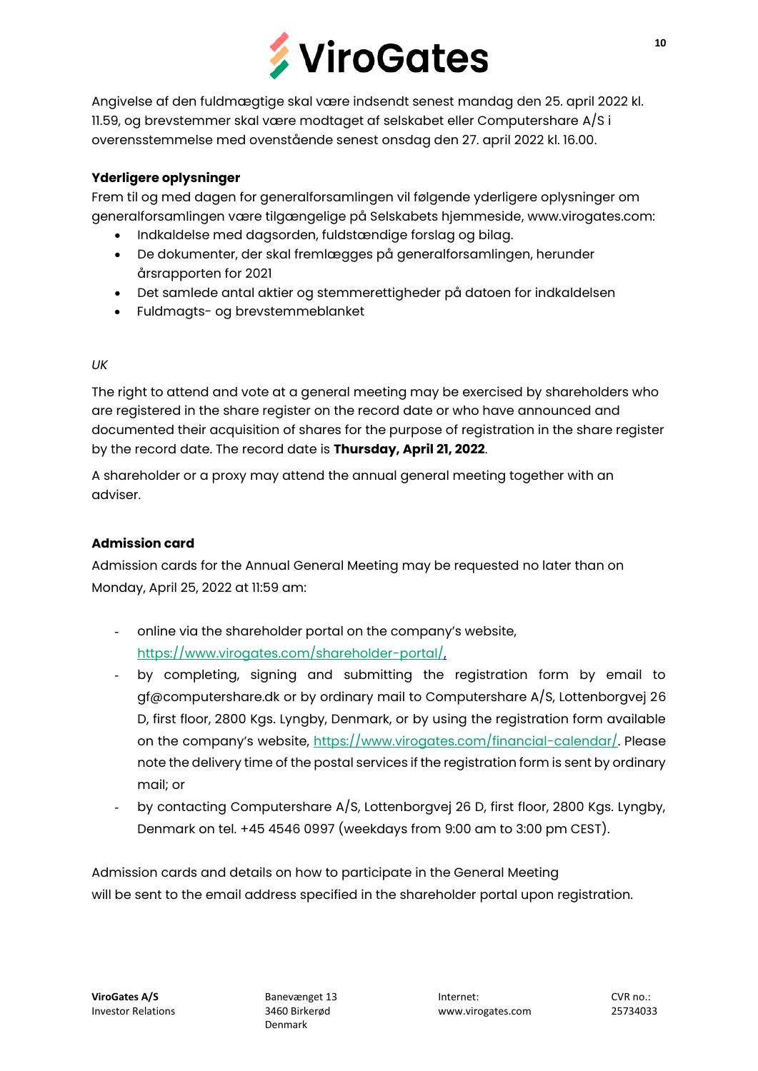

Angivelse af den fuldmægtige skal være indsendt senest mandag den 25. april 2022 kl. 11.59, og brevstemmer skal være modtaget af selskabet eller Computershare A/S i overensstemmelse med ovenstående senest onsdag den 27. april 2022 kl. 16.00.

## **Yderligere oplysninger**

Frem til og med dagen for generalforsamlingen vil følgende yderligere oplysninger om generalforsamlingen være tilgængelige på Selskabets hjemmeside, www.virogates.com:

- Indkaldelse med dagsorden, fuldstændige forslag og bilag.
- De dokumenter, der skal fremlægges på generalforsamlingen, herunder årsrapporten for 2021
- Det samlede antal aktier og stemmerettigheder på datoen for indkaldelsen
- Fuldmagts- og brevstemmeblanket

## *UK*

The right to attend and vote at a general meeting may be exercised by shareholders who are registered in the share register on the record date or who have announced and documented their acquisition of shares for the purpose of registration in the share register by the record date. The record date is **Thursday, April 21, 2022**.

A shareholder or a proxy may attend the annual general meeting together with an adviser.

## **Admission card**

Admission cards for the Annual General Meeting may be requested no later than on Monday, April 25, 2022 at 11:59 am:

- online via the shareholder portal on the company's website, [https://www.virogates.com/shareholder-portal/,](https://www.virogates.com/shareholder-portal/)
- by completing, signing and submitting the registration form by email to gf@computershare.dk or by ordinary mail to Computershare A/S, Lottenborgvej 26 D, first floor, 2800 Kgs. Lyngby, Denmark, or by using the registration form available on the company's website, [https://www.virogates.com/financial-calendar/.](https://www.virogates.com/financial-calendar/) Please note the delivery time of the postal services if the registration form is sent by ordinary mail; or
- by contacting Computershare A/S, Lottenborgvej 26 D, first floor, 2800 Kgs. Lyngby, Denmark on tel. +45 4546 0997 (weekdays from 9:00 am to 3:00 pm CEST).

Admission cards and details on how to participate in the General Meeting will be sent to the email address specified in the shareholder portal upon registration.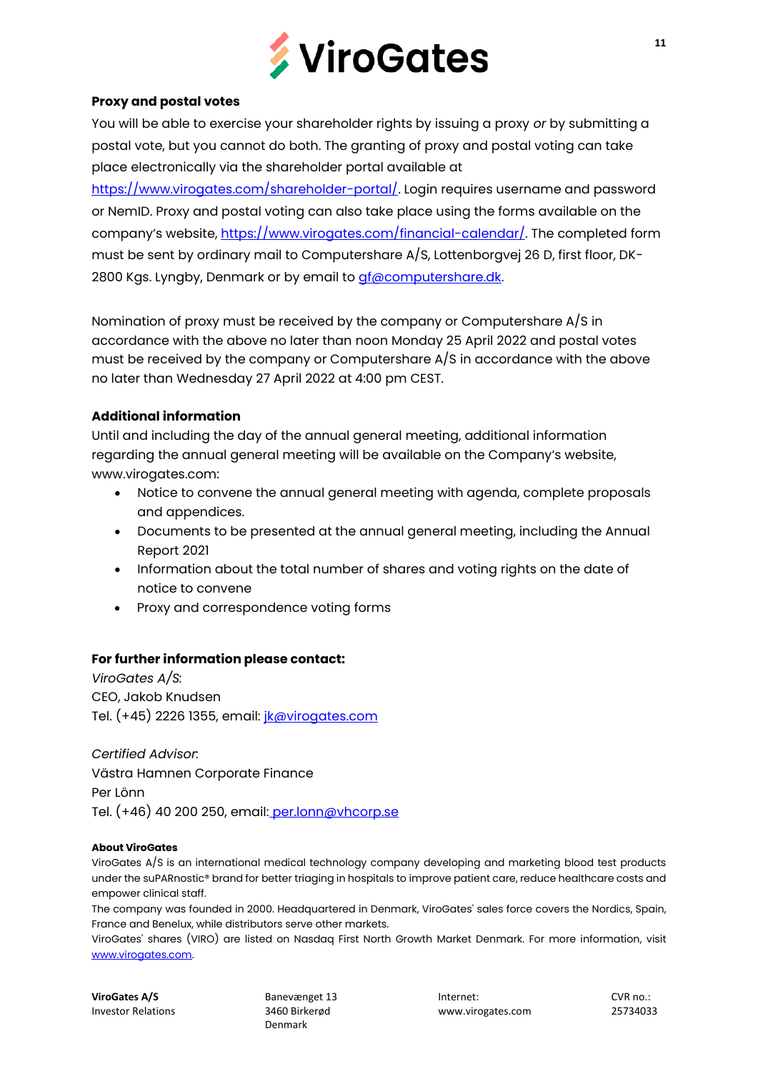

#### **Proxy and postal votes**

You will be able to exercise your shareholder rights by issuing a proxy *or* by submitting a postal vote, but you cannot do both. The granting of proxy and postal voting can take place electronically via the shareholder portal available at

[https://www.virogates.com/shareholder-portal/.](https://www.virogates.com/shareholder-portal/) Login requires username and password or NemID. Proxy and postal voting can also take place using the forms available on the company's website, [https://www.virogates.com/financial-calendar/.](https://www.virogates.com/financial-calendar/) The completed form must be sent by ordinary mail to Computershare A/S, Lottenborgvej 26 D, first floor, DK-2800 Kgs. Lyngby, Denmark or by email to *gf@computershare.dk.* 

Nomination of proxy must be received by the company or Computershare A/S in accordance with the above no later than noon Monday 25 April 2022 and postal votes must be received by the company or Computershare A/S in accordance with the above no later than Wednesday 27 April 2022 at 4:00 pm CEST.

## **Additional information**

Until and including the day of the annual general meeting, additional information regarding the annual general meeting will be available on the Company's website, www.virogates.com:

- Notice to convene the annual general meeting with agenda, complete proposals and appendices.
- Documents to be presented at the annual general meeting, including the Annual Report 2021
- Information about the total number of shares and voting rights on the date of notice to convene
- Proxy and correspondence voting forms

#### **For further information please contact:**

*ViroGates A/S:* CEO, Jakob Knudsen Tel. (+45) 2226 1355, email: *[jk@virogates.com](mailto:jk@virogates.com)* 

*Certified Advisor:* Västra Hamnen Corporate Finance Per Lönn Tel. (+46) 40 200 250, email: [per.lonn@vhcorp.se](mailto:per.lonn@vhcorp.se)

#### **About ViroGates**

ViroGates A/S is an international medical technology company developing and marketing blood test products under the suPARnostic® brand for better triaging in hospitals to improve patient care, reduce healthcare costs and empower clinical staff.

The company was founded in 2000. Headquartered in Denmark, ViroGates' sales force covers the Nordics, Spain, France and Benelux, while distributors serve other markets.

ViroGates' shares (VIRO) are listed on Nasdaq First North Growth Market Denmark. For more information, visit [www.virogates.com.](http://www.virogates.com/) 

Denmark